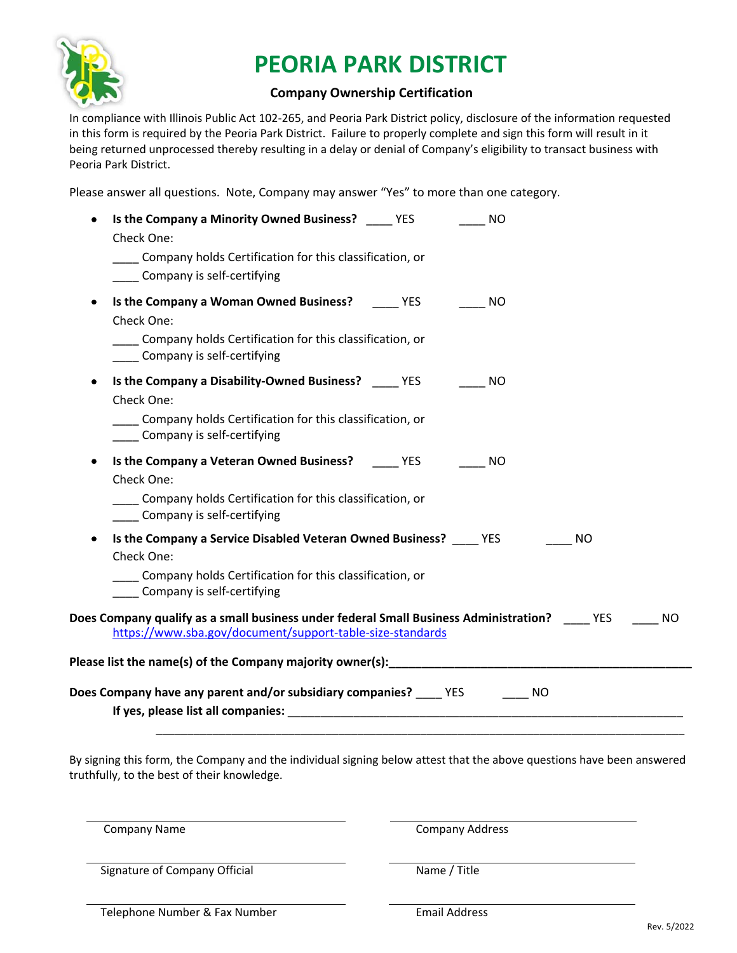

## **PEORIA PARK DISTRICT**

## **Company Ownership Certification**

In compliance with Illinois Public Act 102‐265, and Peoria Park District policy, disclosure of the information requested in this form is required by the Peoria Park District. Failure to properly complete and sign this form will result in it being returned unprocessed thereby resulting in a delay or denial of Company's eligibility to transact business with Peoria Park District.

Please answer all questions. Note, Company may answer "Yes" to more than one category.

| ٠ | Is the Company a Minority Owned Business? The YES<br><b>NO</b><br>Check One:                                                                                            |
|---|-------------------------------------------------------------------------------------------------------------------------------------------------------------------------|
|   | Company holds Certification for this classification, or<br>Company is self-certifying                                                                                   |
| ٠ | Is the Company a Woman Owned Business? The YES NO<br>Check One:                                                                                                         |
|   | Company holds Certification for this classification, or<br>___ Company is self-certifying                                                                               |
| ٠ | Is the Company a Disability-Owned Business? ______ YES ________ NO<br>Check One:                                                                                        |
|   | Company holds Certification for this classification, or<br>Company is self-certifying                                                                                   |
|   | Is the Company a Veteran Owned Business? YES<br>$\frac{1}{2}$ NO<br>Check One:<br>Company holds Certification for this classification, or<br>Company is self-certifying |
|   | Is the Company a Service Disabled Veteran Owned Business? ______ YES<br><b>NO</b><br>Check One:                                                                         |
|   | Company holds Certification for this classification, or<br>Company is self-certifying                                                                                   |
|   | Does Company qualify as a small business under federal Small Business Administration? The MES<br><b>NO</b><br>https://www.sba.gov/document/support-table-size-standards |
|   |                                                                                                                                                                         |
|   | Does Company have any parent and/or subsidiary companies? _____YES ________ NO                                                                                          |

By signing this form, the Company and the individual signing below attest that the above questions have been answered truthfully, to the best of their knowledge.

Company Name **Company Address** 

Signature of Company Official Name / Title